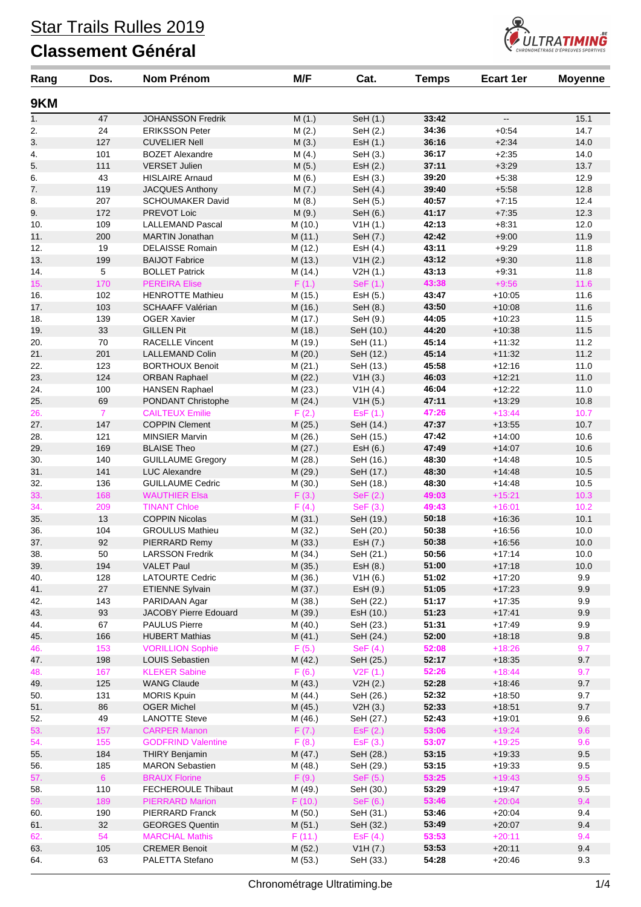

| Rang | Dos.                  | <b>Nom Prénom</b>                               | M/F     | Cat.       | <b>Temps</b>   | <b>Ecart 1er</b>     | <b>Moyenne</b> |
|------|-----------------------|-------------------------------------------------|---------|------------|----------------|----------------------|----------------|
| 9KM  |                       |                                                 |         |            |                |                      |                |
| 1.   | 47                    | <b>JOHANSSON Fredrik</b>                        | M(1.)   | SeH (1.)   | 33:42          | --                   | 15.1           |
| 2.   | 24                    | <b>ERIKSSON Peter</b>                           | M(2.)   | SeH (2.)   | 34:36          | $+0.54$              | 14.7           |
| 3.   | 127                   | <b>CUVELIER Nell</b>                            | M(3.)   | EsH (1.)   | 36:16          | $+2:34$              | 14.0           |
| 4.   | 101                   | <b>BOZET Alexandre</b>                          | M(4.)   | SeH (3.)   | 36:17          | $+2:35$              | 14.0           |
| 5.   | 111                   | <b>VERSET Julien</b>                            | M(5.)   | EsH (2.)   | 37:11          | $+3:29$              | 13.7           |
| 6.   | 43                    | <b>HISLAIRE Arnaud</b>                          | M(6.)   | Est (3.)   | 39:20          | $+5:38$              | 12.9           |
| 7.   | 119                   | <b>JACQUES Anthony</b>                          | M(7.)   | SeH (4.)   | 39:40          | $+5:58$              | 12.8           |
| 8.   | 207                   | <b>SCHOUMAKER David</b>                         | M(8.)   | SeH (5.)   | 40:57          | $+7:15$              | 12.4           |
| 9.   | 172                   | PREVOT Loic                                     | M(9.)   | SeH (6.)   | 41:17          | $+7:35$              | 12.3           |
| 10.  | 109                   | <b>LALLEMAND Pascal</b>                         | M (10.) | V1H(1.)    | 42:13          | $+8:31$              | 12.0           |
| 11.  | 200                   | <b>MARTIN Jonathan</b>                          | M (11.) | SeH (7.)   | 42:42          | $+9:00$              | 11.9           |
| 12.  | 19                    | <b>DELAISSE Romain</b>                          | M (12.) | EsH (4.)   | 43:11          | $+9:29$              | 11.8           |
| 13.  | 199                   | <b>BAIJOT Fabrice</b>                           | M (13.) | V1H (2.)   | 43:12          | $+9:30$              | 11.8           |
| 14.  | 5                     | <b>BOLLET Patrick</b>                           | M (14.) | V2H(1.)    | 43:13          | $+9.31$              | 11.8           |
| 15.  | 170                   | <b>PEREIRA Elise</b>                            | F(1.)   | SeF (1.)   | 43:38          | $+9:56$              | 11.6           |
| 16.  | 102                   | <b>HENROTTE Mathieu</b>                         | M (15.) | EsH (5.)   | 43:47          | $+10:05$             | 11.6           |
| 17.  | 103                   | <b>SCHAAFF Valérian</b>                         | M (16.) | SeH (8.)   | 43:50          | $+10:08$             | 11.6           |
| 18.  | 139                   | <b>OGER Xavier</b>                              | M (17.) | SeH (9.)   | 44:05          | $+10:23$             | 11.5           |
| 19.  | 33                    | <b>GILLEN Pit</b>                               | M (18.) | SeH (10.)  | 44:20          | $+10:38$             | 11.5           |
| 20.  | 70                    | <b>RACELLE Vincent</b>                          | M (19.) | SeH (11.)  | 45:14          | $+11:32$             | 11.2           |
| 21.  | 201                   | <b>LALLEMAND Colin</b>                          | M (20.) | SeH (12.)  | 45:14          | $+11:32$             | 11.2           |
| 22.  | 123                   | <b>BORTHOUX Benoit</b>                          | M(21.)  | SeH (13.)  | 45:58          | $+12:16$             | 11.0           |
| 23.  | 124                   | <b>ORBAN Raphael</b>                            | M (22.) | V1H(3.)    | 46:03          | $+12:21$             | 11.0           |
|      | 100                   |                                                 |         |            |                |                      |                |
| 24.  | 69                    | <b>HANSEN Raphael</b>                           | M (23.) | V1H(4.)    | 46:04<br>47:11 | $+12:22$<br>$+13:29$ | 11.0           |
| 25.  |                       | PONDANT Christophe                              | M (24.) | V1H(5.)    |                |                      | 10.8           |
| 26.  | $\overline{7}$<br>147 | <b>CAILTEUX Emilie</b><br><b>COPPIN Clement</b> | F(2.)   | EsF (1.)   | 47:26          | $+13:44$             | 10.7           |
| 27.  |                       |                                                 | M (25.) | SeH (14.)  | 47:37<br>47:42 | $+13:55$             | 10.7           |
| 28.  | 121                   | <b>MINSIER Marvin</b>                           | M (26.) | SeH (15.)  |                | $+14:00$             | 10.6           |
| 29.  | 169                   | <b>BLAISE Theo</b>                              | M (27.) | Est (6.)   | 47:49          | $+14:07$             | 10.6           |
| 30.  | 140                   | <b>GUILLAUME Gregory</b>                        | M (28.) | SeH (16.)  | 48:30          | $+14.48$             | 10.5           |
| 31.  | 141                   | <b>LUC Alexandre</b>                            | M (29.) | SeH (17.)  | 48:30          | $+14.48$             | 10.5           |
| 32.  | 136                   | <b>GUILLAUME Cedric</b>                         | M (30.) | SeH (18.)  | 48:30          | $+14.48$             | 10.5           |
| 33.  | 168                   | <b>WAUTHIER Elsa</b>                            | F(3.)   | SeF (2.)   | 49:03          | $+15:21$             | 10.3           |
| 34.  | 209                   | <b>TINANT Chloe</b>                             | F(4.)   | SeF(3.)    | 49:43          | $+16:01$             | 10.2           |
| 35.  | 13                    | <b>COPPIN Nicolas</b>                           | M (31.) | SeH (19.)  | 50:18          | $+16.36$             | 10.1           |
| 36.  | 104                   | <b>GROULUS Mathieu</b>                          | M (32.) | SeH (20.)  | 50:38          | $+16:56$             | 10.0           |
| 37.  | 92                    | PIERRARD Remy                                   | M (33.) | EsH (7.)   | 50:38          | $+16:56$             | 10.0           |
| 38.  | 50                    | <b>LARSSON Fredrik</b>                          | M (34.) | SeH (21.)  | 50:56          | $+17:14$             | 10.0           |
| 39.  | 194                   | <b>VALET Paul</b>                               | M (35.) | EsH (8.)   | 51:00          | $+17:18$             | 10.0           |
| 40.  | 128                   | <b>LATOURTE Cedric</b>                          | M (36.) | V1H(6.)    | 51:02          | $+17:20$             | 9.9            |
| 41.  | 27                    | <b>ETIENNE Sylvain</b>                          | M (37.) | EsH (9.)   | 51:05          | $+17:23$             | $9.9\,$        |
| 42.  | 143                   | PARIDAAN Agar                                   | M (38.) | SeH (22.)  | 51:17          | $+17:35$             | 9.9            |
| 43.  | 93                    | <b>JACOBY Pierre Edouard</b>                    | M (39.) | EsH (10.)  | 51:23          | $+17.41$             | 9.9            |
| 44.  | 67                    | <b>PAULUS Pierre</b>                            | M (40.) | SeH (23.)  | 51:31          | $+17:49$             | 9.9            |
| 45.  | 166                   | <b>HUBERT Mathias</b>                           | M(41.)  | SeH (24.)  | 52:00          | $+18:18$             | $9.8\,$        |
| 46.  | 153                   | <b>VORILLION Sophie</b>                         | F(5.)   | SeF $(4.)$ | 52:08          | $+18:26$             | 9.7            |
| 47.  | 198                   | <b>LOUIS Sebastien</b>                          | M (42.) | SeH (25.)  | 52:17          | $+18:35$             | 9.7            |
| 48.  | 167                   | <b>KLEKER Sabine</b>                            | F(6.)   | V2F(1.)    | 52:26          | $+18:44$             | 9.7            |
| 49.  | 125                   | <b>WANG Claude</b>                              | M (43.) | V2H(2.)    | 52:28          | $+18.46$             | 9.7            |
| 50.  | 131                   | <b>MORIS Kpuin</b>                              | M (44.) | SeH (26.)  | 52:32          | $+18:50$             | 9.7            |
| 51.  | 86                    | <b>OGER Michel</b>                              | M (45.) | V2H(3.)    | 52:33          | $+18:51$             | 9.7            |
| 52.  | 49                    | <b>LANOTTE Steve</b>                            | M (46.) | SeH (27.)  | 52:43          | $+19.01$             | 9.6            |
| 53.  | 157                   | <b>CARPER Manon</b>                             | F(7.)   | ESF(2.)    | 53:06          | $+19:24$             | 9.6            |
| 54.  | 155                   | <b>GODFRIND Valentine</b>                       | F(8.)   | ESF(3.)    | 53:07          | $+19:25$             | 9.6            |
| 55.  | 184                   | <b>THIRY Benjamin</b>                           | M (47.) | SeH (28.)  | 53:15          | $+19:33$             | $9.5\,$        |
| 56.  | 185                   | <b>MARON Sebastien</b>                          | M (48.) | SeH (29.)  | 53:15          | $+19:33$             | 9.5            |
| 57.  | 6 <sup>1</sup>        | <b>BRAUX Florine</b>                            | F(9.)   | SeF (5.)   | 53:25          | $+19:43$             | 9.5            |
| 58.  | 110                   | FECHEROULE Thibaut                              | M (49.) | SeH (30.)  | 53:29          | $+19:47$             | 9.5            |
| 59.  | 189                   | <b>PIERRARD Marion</b>                          | F(10.)  | SeF (6.)   | 53:46          | $+20:04$             | 9.4            |
| 60.  | 190                   | <b>PIERRARD Franck</b>                          | M (50.) | SeH (31.)  | 53:46          | $+20:04$             | 9.4            |
| 61.  | 32                    | <b>GEORGES Quentin</b>                          | M (51.) | SeH (32.)  | 53:49          | $+20:07$             | 9.4            |
| 62.  | 54                    | <b>MARCHAL Mathis</b>                           | F(11.)  | ESF(4.)    | 53:53          | $+20:11$             | 9.4            |
| 63.  | 105                   | <b>CREMER Benoit</b>                            | M (52.) | V1H (7.)   | 53:53          | $+20:11$             | 9.4            |
| 64.  | 63                    | PALETTA Stefano                                 | M (53.) | SeH (33.)  | 54:28          | $+20.46$             | 9.3            |
|      |                       |                                                 |         |            |                |                      |                |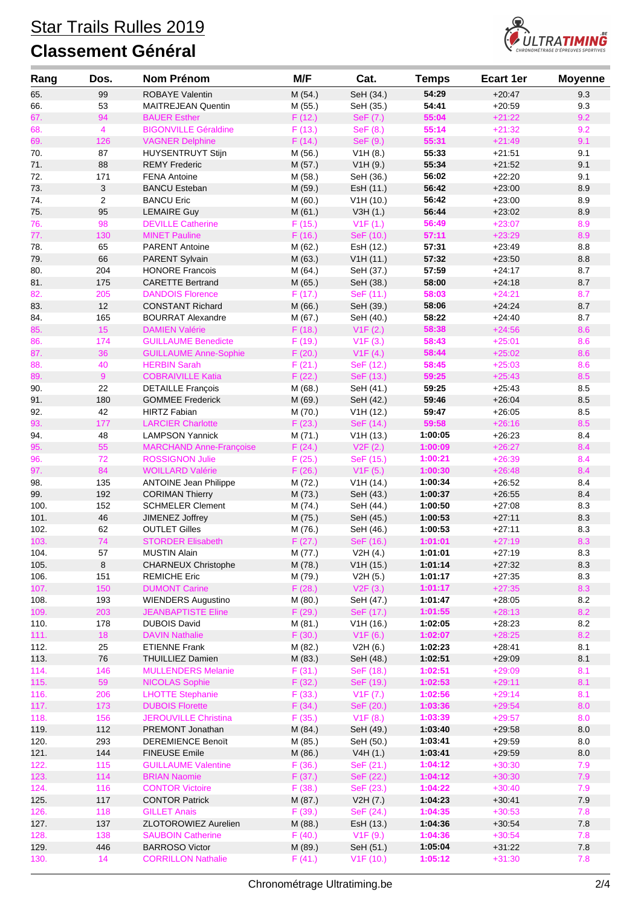

| Rang         | Dos.           | <b>Nom Prénom</b>                       | M/F               | Cat.                   | <b>Temps</b>       | <b>Ecart 1er</b>     | <b>Moyenne</b> |
|--------------|----------------|-----------------------------------------|-------------------|------------------------|--------------------|----------------------|----------------|
| 65.          | 99             | <b>ROBAYE Valentin</b>                  | M (54.)           | SeH (34.)              | 54:29              | $+20:47$             | 9.3            |
| 66.          | 53             | <b>MAITREJEAN Quentin</b>               | M (55.)           | SeH (35.)              | 54:41              | $+20:59$             | 9.3            |
| 67.          | 94             | <b>BAUER Esther</b>                     | F(12.)            | SeF (7.)               | 55:04              | $+21:22$             | 9.2            |
| 68.          | $\overline{4}$ | <b>BIGONVILLE Géraldine</b>             | F(13.)            | SeF (8.)               | 55:14              | $+21:32$             | 9.2            |
| 69.          | 126            | <b>VAGNER Delphine</b>                  | F(14.)            | SeF (9.)               | 55:31              | $+21:49$             | 9.1            |
| 70.          | 87             | <b>HUYSENTRUYT Stijn</b>                | M (56.)           | V1H(8.)                | 55:33              | $+21:51$             | 9.1            |
| 71.          | 88             | <b>REMY Frederic</b>                    | M (57.)           | V1H(9.)                | 55:34              | $+21:52$             | 9.1            |
| 72.          | 171            | <b>FENA Antoine</b>                     | M (58.)           | SeH (36.)              | 56:02              | $+22:20$             | 9.1            |
| 73.          | 3              | <b>BANCU Esteban</b>                    | M (59.)           | EsH (11.)              | 56:42              | $+23:00$             | 8.9            |
| 74.          | $\overline{2}$ | <b>BANCU Eric</b>                       | M(60.)            | V1H(10.)               | 56:42              | $+23:00$             | 8.9            |
| 75.          | 95             | <b>LEMAIRE Guy</b>                      | M(61.)            | V3H(1.)                | 56:44              | $+23:02$             | 8.9            |
| 76.          | 98             | <b>DEVILLE Catherine</b>                | F(15.)            | V1F(1.)                | 56:49              | $+23:07$             | 8.9            |
| 77.          | 130            | <b>MINET Pauline</b>                    | F(16.)            | SeF (10.)              | 57:11              | $+23:29$             | 8.9            |
| 78.          | 65             | <b>PARENT Antoine</b>                   | M (62.)           | EsH (12.)              | 57:31              | $+23:49$             | 8.8            |
| 79.          | 66             | PARENT Sylvain                          | M (63.)           | V1H(11.)               | 57:32              | $+23:50$             | 8.8            |
| 80.          | 204            | <b>HONORE Francois</b>                  | M(64.)            | SeH (37.)              | 57:59              | $+24:17$             | 8.7            |
| 81.          | 175            | <b>CARETTE Bertrand</b>                 | M (65.)           | SeH (38.)              | 58:00              | $+24:18$             | 8.7            |
| 82.          | 205            | <b>DANDOIS Florence</b>                 | F(17.)            | SeF (11.)              | 58:03              | $+24:21$             | 8.7            |
| 83.          | 12             | <b>CONSTANT Richard</b>                 | M (66.)           | SeH (39.)              | 58:06              | $+24:24$             | 8.7            |
| 84.          | 165            | <b>BOURRAT Alexandre</b>                | M (67.)           | SeH (40.)              | 58:22              | $+24:40$             | 8.7            |
| 85.          | 15             | <b>DAMIEN Valérie</b>                   | F(18.)            | V1F(2.)                | 58:38              | $+24:56$             | 8.6            |
| 86.          | 174            | <b>GUILLAUME Benedicte</b>              | F(19.)            | V1F(3.)                | 58:43              | $+25:01$             | 8.6            |
| 87.          | 36             | <b>GUILLAUME Anne-Sophie</b>            | F(20.)            | V1F(4.)                | 58:44              | $+25:02$             | 8.6            |
| 88.          | 40             | <b>HERBIN Sarah</b>                     | F(21.)            | SeF (12.)              | 58:45              | $+25:03$             | 8.6            |
| 89.          | 9              | <b>COBRAIVILLE Katia</b>                | F(22.)            | SeF (13.)              | 59:25              | $+25:43$             | 8.5            |
| 90.          | 22             | <b>DETAILLE François</b>                | M (68.)           | SeH (41.)              | 59:25              | $+25:43$             | 8.5            |
| 91.          | 180            | <b>GOMMEE Frederick</b>                 | M (69.)           | SeH (42.)              | 59:46              | $+26.04$             | 8.5            |
| 92.          | 42             | <b>HIRTZ Fabian</b>                     | M (70.)           | V1H(12.)               | 59:47              | $+26:05$             | 8.5            |
| 93.          | 177            | <b>LARCIER Charlotte</b>                | F(23.)            | SeF (14.)              | 59:58              | $+26:16$             | 8.5            |
| 94.          | 48             | <b>LAMPSON Yannick</b>                  | M (71.)           | V1H(13.)               | 1:00:05            | $+26:23$             | 8.4            |
| 95.          | 55             | <b>MARCHAND Anne-Françoise</b>          | F(24.)            | V2F(2.)                | 1:00:09            | $+26:27$             | 8.4            |
| 96.          | 72             | <b>ROSSIGNON Julie</b>                  | F(25.)            | SeF (15.)              | 1:00:21            | $+26:39$             | 8.4            |
| 97.          | 84             | <b>WOILLARD Valérie</b>                 | F(26.)            | V1F(5.)                | 1:00:30            | $+26:48$             | 8.4            |
| 98.          | 135            | <b>ANTOINE Jean Philippe</b>            | M (72.)           | V1H (14.)              | 1:00:34            | $+26:52$             | 8.4            |
| 99.          | 192            | <b>CORIMAN Thierry</b>                  | M (73.)           | SeH (43.)              | 1:00:37            | $+26.55$             | 8.4            |
| 100.         | 152<br>46      | <b>SCHMELER Clement</b>                 | M (74.)           | SeH (44.)              | 1:00:50<br>1:00:53 | $+27:08$             | 8.3            |
| 101.<br>102. | 62             | JIMENEZ Joffrey<br><b>OUTLET Gilles</b> | M (75.)           | SeH (45.)<br>SeH (46.) | 1:00:53            | $+27:11$<br>$+27:11$ | 8.3<br>8.3     |
| 103.         | 74             | <b>STORDER Elisabeth</b>                | M (76.)<br>F(27.) | SeF (16.)              | 1:01:01            | $+27:19$             | 8.3            |
| 104.         | 57             | <b>MUSTIN Alain</b>                     | M (77.)           | V2H(4.)                | 1:01:01            | $+27:19$             | 8.3            |
| 105.         | $\bf8$         | CHARNEUX Christophe                     | M (78.)           | V1H(15.)               | 1:01:14            | $+27:32$             | 8.3            |
| 106.         | 151            | <b>REMICHE Eric</b>                     | M (79.)           | V2H(5.)                | 1:01:17            | $+27:35$             | 8.3            |
| 107.         | 150            | <b>DUMONT Carine</b>                    | F(28.)            | V2F(3.)                | 1:01:17            | $+27:35$             | 8.3            |
| 108.         | 193            | <b>WIENDERS Augustino</b>               | M (80.)           | SeH (47.)              | 1:01:47            | $+28:05$             | 8.2            |
| 109.         | 203            | <b>JEANBAPTISTE Eline</b>               | F (29.)           | SeF (17.)              | 1:01:55            | $+28:13$             | 8.2            |
| 110.         | 178            | <b>DUBOIS David</b>                     | M (81.)           | V1H(16.)               | 1:02:05            | $+28:23$             | $8.2\,$        |
| 111.         | 18             | <b>DAVIN Nathalie</b>                   | F(30.)            | V1F(6.)                | 1:02:07            | $+28:25$             | 8.2            |
| 112.         | 25             | <b>ETIENNE Frank</b>                    | M (82.)           | V2H(6.)                | 1:02:23            | $+28:41$             | 8.1            |
| 113.         | 76             | <b>THUILLIEZ Damien</b>                 | M (83.)           | SeH (48.)              | 1:02:51            | $+29:09$             | 8.1            |
| 114.         | 146            | <b>MULLENDERS Melanie</b>               | F(31.)            | SeF (18.)              | 1:02:51            | $+29:09$             | 8.1            |
| 115.         | 59             | <b>NICOLAS Sophie</b>                   | F (32.)           | SeF (19.)              | 1:02:53            | $+29:11$             | 8.1            |
| 116.         | 206            | <b>LHOTTE Stephanie</b>                 | F(33.)            | V1F (7.)               | 1:02:56            | $+29:14$             | 8.1            |
| 117.         | 173            | <b>DUBOIS Florette</b>                  | F(34.)            | SeF (20.)              | 1:03:36            | $+29:54$             | 8.0            |
| 118.         | 156            | <b>JEROUVILLE Christina</b>             | F(35.)            | V1F(8.)                | 1:03:39            | $+29:57$             | 8.0            |
| 119.         | 112            | PREMONT Jonathan                        | M (84.)           | SeH (49.)              | 1:03:40            | $+29:58$             | $8.0\,$        |
| 120.         | 293            | <b>DEREMIENCE Benoït</b>                | M (85.)           | SeH (50.)              | 1:03:41            | $+29.59$             | 8.0            |
| 121.         | 144            | <b>FINEUSE Emile</b>                    | M (86.)           | V4H(1.)                | 1:03:41            | $+29:59$             | $8.0\,$        |
| 122.         | 115            | <b>GUILLAUME Valentine</b>              | F(36.)            | SeF (21.)              | 1:04:12            | $+30:30$             | 7.9            |
| 123.         | 114            | <b>BRIAN Naomie</b>                     | F(37.)            | SeF (22.)              | 1:04:12            | $+30:30$             | 7.9            |
| 124.         | 116            | <b>CONTOR Victoire</b>                  | F(38.)            | SeF (23.)              | 1:04:22            | $+30:40$             | 7.9            |
| 125.         | 117            | <b>CONTOR Patrick</b>                   | M (87.)           | V2H (7.)               | 1:04:23            | $+30.41$             | 7.9            |
| 126.         | 118            | <b>GILLET Anais</b>                     | F(39.)            | SeF (24.)              | 1:04:35            | $+30:53$             | 7.8            |
| 127.         | 137            | ZLOTOROWIEZ Aurelien                    | M (88.)           | EsH (13.)              | 1:04:36            | $+30:54$             | $7.8\,$        |
| 128.         | 138            | <b>SAUBOIN Catherine</b>                | F(40.)            | V1F(9.)                | 1:04:36            | $+30:54$             | 7.8            |
| 129.         | 446            | <b>BARROSO Victor</b>                   | M (89.)           | SeH (51.)              | 1:05:04            | $+31:22$             | $7.8\,$        |
| 130.         | 14             | <b>CORRILLON Nathalie</b>               | F(41.)            | V <sub>1</sub> F (10.) | 1:05:12            | $+31:30$             | 7.8            |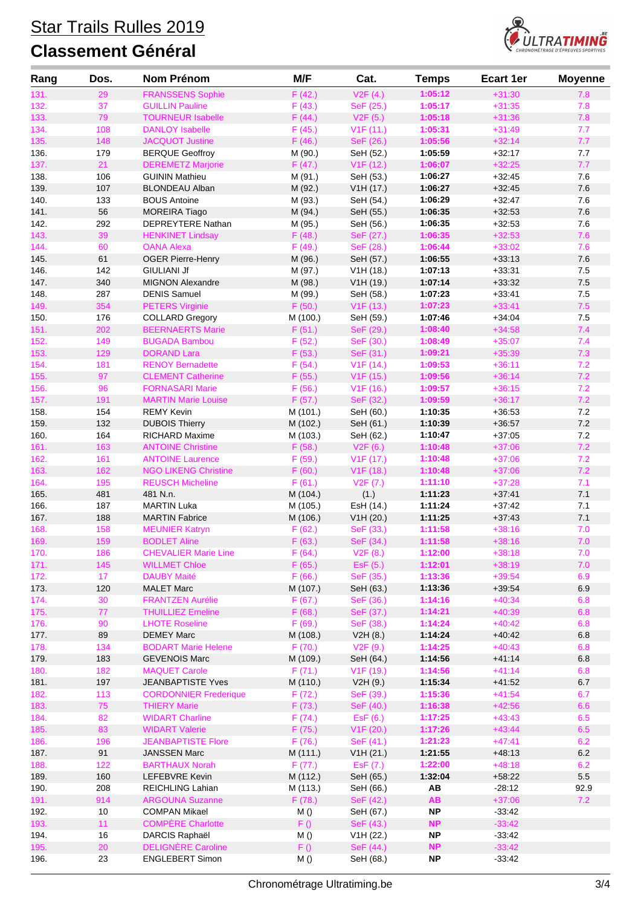# Star Trails Rulles 2019



| Rang         | Dos.       | <b>Nom Prénom</b>                              | M/F                | Cat.                   | <b>Temps</b>       | <b>Ecart 1er</b>     | <b>Moyenne</b> |
|--------------|------------|------------------------------------------------|--------------------|------------------------|--------------------|----------------------|----------------|
| 131.         | 29         | <b>FRANSSENS Sophie</b>                        | F(42.)             | V2F(4.)                | 1:05:12            | $+31:30$             | 7.8            |
| 132.         | 37         | <b>GUILLIN Pauline</b>                         | F(43.)             | SeF (25.)              | 1:05:17            | $+31:35$             | 7.8            |
| 133.         | 79         | <b>TOURNEUR Isabelle</b>                       | F(44.)             | V2F(5.)                | 1:05:18            | $+31:36$             | 7.8            |
| 134.         | 108        | <b>DANLOY Isabelle</b>                         | F(45.)             | V1F(11.)               | 1:05:31            | $+31:49$             | 7.7            |
| 135.         | 148        | <b>JACQUOT Justine</b>                         | F(46.)             | SeF (26.)              | 1:05:56            | $+32:14$             | 7.7            |
| 136.         | 179        | <b>BERQUE Geoffroy</b>                         | M (90.)            | SeH (52.)              | 1:05:59            | $+32:17$             | 7.7            |
| 137.         | 21         | <b>DEREMETZ Marjorie</b>                       | F(47.)             | V <sub>1</sub> F (12.) | 1:06:07            | $+32:25$             | 7.7            |
| 138.         | 106        | <b>GUININ Mathieu</b>                          | M (91.)            | SeH (53.)              | 1:06:27            | $+32:45$             | 7.6            |
| 139.         | 107        | <b>BLONDEAU Alban</b>                          | M (92.)            | V1H (17.)              | 1:06:27            | $+32:45$             | 7.6            |
| 140.         | 133        | <b>BOUS Antoine</b>                            | M (93.)            | SeH (54.)              | 1:06:29            | $+32:47$             | 7.6            |
| 141.         | 56         | <b>MOREIRA Tiago</b>                           | M (94.)            | SeH (55.)              | 1:06:35            | $+32:53$             | 7.6            |
| 142.<br>143. | 292<br>39  | DEPREYTERE Nathan<br><b>HENKINET Lindsay</b>   | M (95.)<br>F(48.)  | SeH (56.)<br>SeF (27.) | 1:06:35<br>1:06:35 | $+32:53$<br>$+32:53$ | 7.6<br>7.6     |
| 144.         | 60         | <b>OANA Alexa</b>                              | F(49.)             | SeF (28.)              | 1:06:44            | $+33:02$             | 7.6            |
| 145.         | 61         | <b>OGER Pierre-Henry</b>                       | M (96.)            | SeH (57.)              | 1:06:55            | $+33:13$             | 7.6            |
| 146.         | 142        | <b>GIULIANI Jf</b>                             | M (97.)            | V1H(18.)               | 1:07:13            | $+33.31$             | 7.5            |
| 147.         | 340        | <b>MIGNON Alexandre</b>                        | M (98.)            | V1H(19.)               | 1:07:14            | $+33:32$             | $7.5$          |
| 148.         | 287        | <b>DENIS Samuel</b>                            | M (99.)            | SeH (58.)              | 1:07:23            | $+33:41$             | $7.5$          |
| 149.         | 354        | <b>PETERS Virginie</b>                         | F(50.)             | V1F(13.)               | 1:07:23            | $+33:41$             | 7.5            |
| 150.         | 176        | <b>COLLARD Gregory</b>                         | M (100.)           | SeH (59.)              | 1:07:46            | $+34:04$             | 7.5            |
| 151.         | 202        | <b>BEERNAERTS Marie</b>                        | F(51.)             | SeF (29.)              | 1:08:40            | $+34:58$             | 7.4            |
| 152.         | 149        | <b>BUGADA Bambou</b>                           | F(52.)             | SeF (30.)              | 1:08:49            | $+35:07$             | 7.4            |
| 153.         | 129        | <b>DORAND Lara</b>                             | F(53.)             | SeF (31.)              | 1:09:21            | $+35:39$             | 7.3            |
| 154.         | 181        | <b>RENOY Bernadette</b>                        | F(54.)             | V1F(14.)               | 1:09:53            | $+36:11$             | 7.2            |
| 155.         | 97         | <b>CLEMENT Catherine</b>                       | F(55.)             | V <sub>1</sub> F (15.) | 1:09:56            | $+36:14$             | 7.2            |
| 156.         | 96         | <b>FORNASARI Marie</b>                         | F(56.)             | V <sub>1</sub> F (16.) | 1:09:57            | $+36:15$             | 7.2            |
| 157.         | 191        | <b>MARTIN Marie Louise</b>                     | F(57.)             | SeF (32.)              | 1:09:59            | $+36:17$             | 7.2            |
| 158.         | 154        | <b>REMY Kevin</b>                              | M (101.)           | SeH (60.)              | 1:10:35            | $+36:53$             | 7.2            |
| 159.         | 132        | <b>DUBOIS Thierry</b>                          | M (102.)           | SeH (61.)              | 1:10:39            | $+36.57$             | $7.2\,$        |
| 160.         | 164        | <b>RICHARD Maxime</b>                          | M (103.)           | SeH (62.)              | 1:10:47            | $+37:05$             | 7.2            |
| 161.         | 163        | <b>ANTOINE Christine</b>                       | F(58.)             | V2F(6.)                | 1:10:48            | $+37:06$             | 7.2            |
| 162.         | 161        | <b>ANTOINE Laurence</b>                        | F(59.)             | V <sub>1</sub> F (17.) | 1:10:48            | $+37:06$             | 7.2            |
| 163.         | 162        | <b>NGO LIKENG Christine</b>                    | F(60.)             | V <sub>1</sub> F (18.) | 1:10:48            | $+37:06$             | 7.2            |
| 164.         | 195        | <b>REUSCH Micheline</b>                        | F(61.)             | V2F(7.)                | 1:11:10            | $+37:28$             | 7.1            |
| 165.         | 481        | 481 N.n.                                       | M (104.)           | (1.)                   | 1:11:23            | $+37:41$             | 7.1            |
| 166.         | 187        | <b>MARTIN Luka</b>                             | M (105.)           | EsH (14.)<br>V1H (20.) | 1:11:24<br>1:11:25 | $+37:42$             | 7.1<br>7.1     |
| 167.<br>168. | 188<br>158 | <b>MARTIN Fabrice</b><br><b>MEUNIER Katryn</b> | M (106.)<br>F(62.) | SeF (33.)              | 1:11:58            | $+37:43$<br>$+38:16$ | 7.0            |
| 169.         | 159        | <b>BODLET Aline</b>                            | F(63.)             | SeF (34.)              | 1:11:58            | $+38:16$             | 7.0            |
| 170.         | 186        | <b>CHEVALIER Marie Line</b>                    | F(64.)             | V2F(8.)                | 1:12:00            | $+38:18$             | 7.0            |
| 171.         | 145        | <b>WILLMET Chloe</b>                           | F(65.)             | EsF (5.)               | 1:12:01            | $+38:19$             | 7.0            |
| 172.         | 17         | <b>DAUBY Maité</b>                             | F(66.)             | SeF (35.)              | 1:13:36            | $+39:54$             | 6.9            |
| 173.         | 120        | <b>MALET Marc</b>                              | M (107.)           | SeH (63.)              | 1:13:36            | $+39:54$             | 6.9            |
| 174.         | 30         | <b>FRANTZEN Aurélie</b>                        | F(67.)             | SeF (36.)              | 1:14:16            | $+40:34$             | 6.8            |
| 175.         | 77         | <b>THUILLIEZ Emeline</b>                       | F(68.)             | SeF (37.)              | 1:14:21            | $+40:39$             | 6.8            |
| 176.         | 90         | <b>LHOTE Roseline</b>                          | F(69.)             | SeF (38.)              | 1:14:24            | $+40:42$             | 6.8            |
| 177.         | 89         | <b>DEMEY Marc</b>                              | M (108.)           | V2H(8.)                | 1:14:24            | $+40:42$             | $6.8\,$        |
| 178.         | 134        | <b>BODART Marie Helene</b>                     | F(70.)             | V2F(9.)                | 1:14:25            | $+40:43$             | 6.8            |
| 179.         | 183        | <b>GEVENOIS Marc</b>                           | M (109.)           | SeH (64.)              | 1:14:56            | $+41:14$             | 6.8            |
| 180.         | 182        | <b>MAQUET Carole</b>                           | F(71.)             | V <sub>1</sub> F (19.) | 1:14:56            | $+41:14$             | 6.8            |
| 181.         | 197        | <b>JEANBAPTISTE Yves</b>                       | M (110.)           | V2H (9.)               | 1:15:34            | $+41:52$             | 6.7            |
| 182.         | 113        | <b>CORDONNIER Frederique</b>                   | F(72.)             | SeF (39.)              | 1:15:36            | $+41:54$             | 6.7            |
| 183.         | 75         | <b>THIERY Marie</b>                            | F(73.)             | SeF (40.)              | 1:16:38            | $+42:56$             | 6.6            |
| 184.         | 82         | <b>WIDART Charline</b>                         | F(74.)             | ESF(6.)                | 1:17:25            | $+43:43$             | 6.5            |
| 185.         | 83         | <b>WIDART Valerie</b>                          | F (75.)            | V1F (20.)              | 1:17:26            | $+43:44$             | 6.5            |
| 186.         | 196        | <b>JEANBAPTISTE Flore</b>                      | F(76.)             | SeF (41.)              | 1:21:23            | $+47:41$             | 6.2            |
| 187.<br>188. | 91<br>122  | <b>JANSSEN Marc</b><br><b>BARTHAUX Norah</b>   | M (111.)<br>F(77.) | V1H (21.)<br>EsF (7.)  | 1:21:55<br>1:22:00 | $+48:13$<br>$+48:18$ | $6.2\,$<br>6.2 |
| 189.         | 160        | LEFEBVRE Kevin                                 | M (112.)           | SeH (65.)              | 1:32:04            | $+58:22$             | $5.5\,$        |
| 190.         | 208        | REICHLING Lahian                               | M (113.)           | SeH (66.)              | AB                 | $-28:12$             | 92.9           |
| 191.         | 914        | <b>ARGOUNA Suzanne</b>                         | F(78.)             | SeF (42.)              | <b>AB</b>          | $+37:06$             | 7.2            |
| 192.         | 10         | <b>COMPAN Mikael</b>                           | M()                | SeH (67.)              | NP.                | $-33:42$             |                |
| 193.         | 11         | <b>COMPÈRE Charlotte</b>                       | F()                | SeF (43.)              | <b>NP</b>          | $-33:42$             |                |
| 194.         | $16$       | DARCIS Raphaël                                 | M()                | V1H (22.)              | <b>NP</b>          | $-33:42$             |                |
| 195.         | 20         | <b>DELIGNÈRE Caroline</b>                      | F()                | SeF (44.)              | NP                 | $-33:42$             |                |
| 196.         | 23         | <b>ENGLEBERT Simon</b>                         | M()                | SeH (68.)              | <b>NP</b>          | $-33:42$             |                |